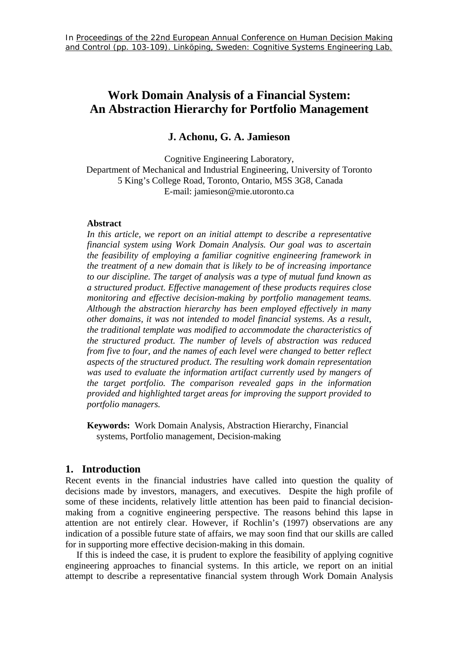# **Work Domain Analysis of a Financial System: An Abstraction Hierarchy for Portfolio Management**

#### **J. Achonu, G. A. Jamieson**

Cognitive Engineering Laboratory, Department of Mechanical and Industrial Engineering, University of Toronto 5 King's College Road, Toronto, Ontario, M5S 3G8, Canada E-mail: jamieson@mie.utoronto.ca

#### **Abstract**

*In this article, we report on an initial attempt to describe a representative financial system using Work Domain Analysis. Our goal was to ascertain the feasibility of employing a familiar cognitive engineering framework in the treatment of a new domain that is likely to be of increasing importance to our discipline. The target of analysis was a type of mutual fund known as a structured product. Effective management of these products requires close monitoring and effective decision-making by portfolio management teams. Although the abstraction hierarchy has been employed effectively in many other domains, it was not intended to model financial systems. As a result, the traditional template was modified to accommodate the characteristics of the structured product. The number of levels of abstraction was reduced from five to four, and the names of each level were changed to better reflect aspects of the structured product. The resulting work domain representation was used to evaluate the information artifact currently used by mangers of the target portfolio. The comparison revealed gaps in the information provided and highlighted target areas for improving the support provided to portfolio managers.* 

**Keywords:** Work Domain Analysis, Abstraction Hierarchy, Financial systems, Portfolio management, Decision-making

#### **1. Introduction**

Recent events in the financial industries have called into question the quality of decisions made by investors, managers, and executives. Despite the high profile of some of these incidents, relatively little attention has been paid to financial decisionmaking from a cognitive engineering perspective. The reasons behind this lapse in attention are not entirely clear. However, if Rochlin's (1997) observations are any indication of a possible future state of affairs, we may soon find that our skills are called for in supporting more effective decision-making in this domain.

If this is indeed the case, it is prudent to explore the feasibility of applying cognitive engineering approaches to financial systems. In this article, we report on an initial attempt to describe a representative financial system through Work Domain Analysis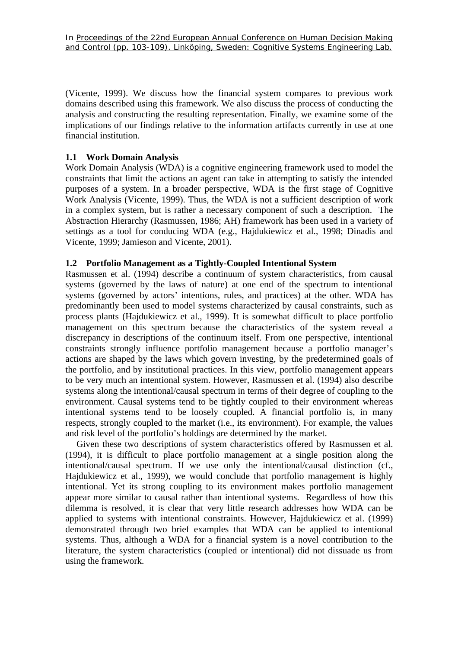(Vicente, 1999). We discuss how the financial system compares to previous work domains described using this framework. We also discuss the process of conducting the analysis and constructing the resulting representation. Finally, we examine some of the implications of our findings relative to the information artifacts currently in use at one financial institution.

## **1.1 Work Domain Analysis**

Work Domain Analysis (WDA) is a cognitive engineering framework used to model the constraints that limit the actions an agent can take in attempting to satisfy the intended purposes of a system. In a broader perspective, WDA is the first stage of Cognitive Work Analysis (Vicente, 1999). Thus, the WDA is not a sufficient description of work in a complex system, but is rather a necessary component of such a description. The Abstraction Hierarchy (Rasmussen, 1986; AH) framework has been used in a variety of settings as a tool for conducing WDA (e.g., Hajdukiewicz et al., 1998; Dinadis and Vicente, 1999; Jamieson and Vicente, 2001).

## **1.2 Portfolio Management as a Tightly-Coupled Intentional System**

Rasmussen et al. (1994) describe a continuum of system characteristics, from causal systems (governed by the laws of nature) at one end of the spectrum to intentional systems (governed by actors' intentions, rules, and practices) at the other. WDA has predominantly been used to model systems characterized by causal constraints, such as process plants (Hajdukiewicz et al., 1999). It is somewhat difficult to place portfolio management on this spectrum because the characteristics of the system reveal a discrepancy in descriptions of the continuum itself. From one perspective, intentional constraints strongly influence portfolio management because a portfolio manager's actions are shaped by the laws which govern investing, by the predetermined goals of the portfolio, and by institutional practices. In this view, portfolio management appears to be very much an intentional system. However, Rasmussen et al. (1994) also describe systems along the intentional/causal spectrum in terms of their degree of coupling to the environment. Causal systems tend to be tightly coupled to their environment whereas intentional systems tend to be loosely coupled. A financial portfolio is, in many respects, strongly coupled to the market (i.e., its environment). For example, the values and risk level of the portfolio's holdings are determined by the market.

Given these two descriptions of system characteristics offered by Rasmussen et al. (1994), it is difficult to place portfolio management at a single position along the intentional/causal spectrum. If we use only the intentional/causal distinction (cf., Hajdukiewicz et al., 1999), we would conclude that portfolio management is highly intentional. Yet its strong coupling to its environment makes portfolio management appear more similar to causal rather than intentional systems. Regardless of how this dilemma is resolved, it is clear that very little research addresses how WDA can be applied to systems with intentional constraints. However, Hajdukiewicz et al. (1999) demonstrated through two brief examples that WDA can be applied to intentional systems. Thus, although a WDA for a financial system is a novel contribution to the literature, the system characteristics (coupled or intentional) did not dissuade us from using the framework.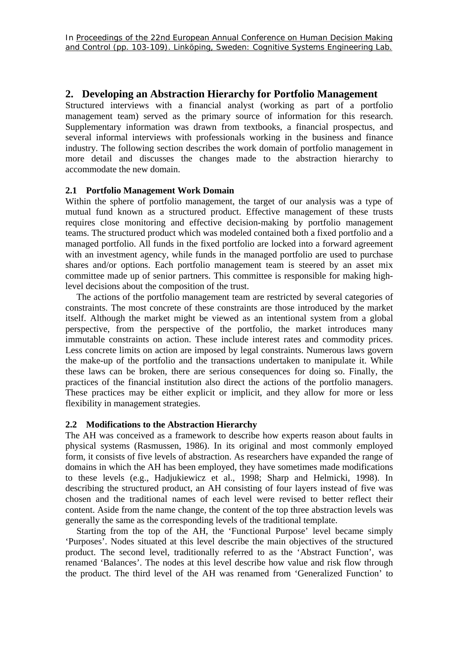## **2. Developing an Abstraction Hierarchy for Portfolio Management**

Structured interviews with a financial analyst (working as part of a portfolio management team) served as the primary source of information for this research. Supplementary information was drawn from textbooks, a financial prospectus, and several informal interviews with professionals working in the business and finance industry. The following section describes the work domain of portfolio management in more detail and discusses the changes made to the abstraction hierarchy to accommodate the new domain.

#### **2.1 Portfolio Management Work Domain**

Within the sphere of portfolio management, the target of our analysis was a type of mutual fund known as a structured product. Effective management of these trusts requires close monitoring and effective decision-making by portfolio management teams. The structured product which was modeled contained both a fixed portfolio and a managed portfolio. All funds in the fixed portfolio are locked into a forward agreement with an investment agency, while funds in the managed portfolio are used to purchase shares and/or options. Each portfolio management team is steered by an asset mix committee made up of senior partners. This committee is responsible for making highlevel decisions about the composition of the trust.

The actions of the portfolio management team are restricted by several categories of constraints. The most concrete of these constraints are those introduced by the market itself. Although the market might be viewed as an intentional system from a global perspective, from the perspective of the portfolio, the market introduces many immutable constraints on action. These include interest rates and commodity prices. Less concrete limits on action are imposed by legal constraints. Numerous laws govern the make-up of the portfolio and the transactions undertaken to manipulate it. While these laws can be broken, there are serious consequences for doing so. Finally, the practices of the financial institution also direct the actions of the portfolio managers. These practices may be either explicit or implicit, and they allow for more or less flexibility in management strategies.

#### **2.2 Modifications to the Abstraction Hierarchy**

The AH was conceived as a framework to describe how experts reason about faults in physical systems (Rasmussen, 1986). In its original and most commonly employed form, it consists of five levels of abstraction. As researchers have expanded the range of domains in which the AH has been employed, they have sometimes made modifications to these levels (e.g., Hadjukiewicz et al., 1998; Sharp and Helmicki, 1998). In describing the structured product, an AH consisting of four layers instead of five was chosen and the traditional names of each level were revised to better reflect their content. Aside from the name change, the content of the top three abstraction levels was generally the same as the corresponding levels of the traditional template.

Starting from the top of the AH, the 'Functional Purpose' level became simply 'Purposes'. Nodes situated at this level describe the main objectives of the structured product. The second level, traditionally referred to as the 'Abstract Function', was renamed 'Balances'. The nodes at this level describe how value and risk flow through the product. The third level of the AH was renamed from 'Generalized Function' to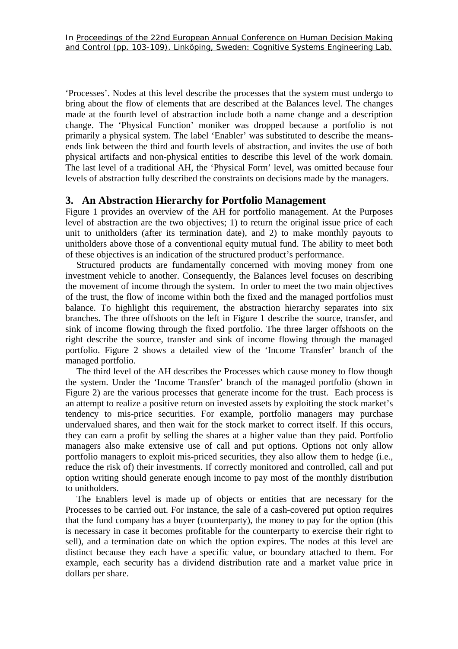'Processes'. Nodes at this level describe the processes that the system must undergo to bring about the flow of elements that are described at the Balances level. The changes made at the fourth level of abstraction include both a name change and a description change. The 'Physical Function' moniker was dropped because a portfolio is not primarily a physical system. The label 'Enabler' was substituted to describe the meansends link between the third and fourth levels of abstraction, and invites the use of both physical artifacts and non-physical entities to describe this level of the work domain. The last level of a traditional AH, the 'Physical Form' level, was omitted because four levels of abstraction fully described the constraints on decisions made by the managers.

## **3. An Abstraction Hierarchy for Portfolio Management**

Figure 1 provides an overview of the AH for portfolio management. At the Purposes level of abstraction are the two objectives; 1) to return the original issue price of each unit to unitholders (after its termination date), and 2) to make monthly payouts to unitholders above those of a conventional equity mutual fund. The ability to meet both of these objectives is an indication of the structured product's performance.

Structured products are fundamentally concerned with moving money from one investment vehicle to another. Consequently, the Balances level focuses on describing the movement of income through the system. In order to meet the two main objectives of the trust, the flow of income within both the fixed and the managed portfolios must balance. To highlight this requirement, the abstraction hierarchy separates into six branches. The three offshoots on the left in Figure 1 describe the source, transfer, and sink of income flowing through the fixed portfolio. The three larger offshoots on the right describe the source, transfer and sink of income flowing through the managed portfolio. Figure 2 shows a detailed view of the 'Income Transfer' branch of the managed portfolio.

The third level of the AH describes the Processes which cause money to flow though the system. Under the 'Income Transfer' branch of the managed portfolio (shown in Figure 2) are the various processes that generate income for the trust. Each process is an attempt to realize a positive return on invested assets by exploiting the stock market's tendency to mis-price securities. For example, portfolio managers may purchase undervalued shares, and then wait for the stock market to correct itself. If this occurs, they can earn a profit by selling the shares at a higher value than they paid. Portfolio managers also make extensive use of call and put options. Options not only allow portfolio managers to exploit mis-priced securities, they also allow them to hedge (i.e., reduce the risk of) their investments. If correctly monitored and controlled, call and put option writing should generate enough income to pay most of the monthly distribution to unitholders.

The Enablers level is made up of objects or entities that are necessary for the Processes to be carried out. For instance, the sale of a cash-covered put option requires that the fund company has a buyer (counterparty), the money to pay for the option (this is necessary in case it becomes profitable for the counterparty to exercise their right to sell), and a termination date on which the option expires. The nodes at this level are distinct because they each have a specific value, or boundary attached to them. For example, each security has a dividend distribution rate and a market value price in dollars per share.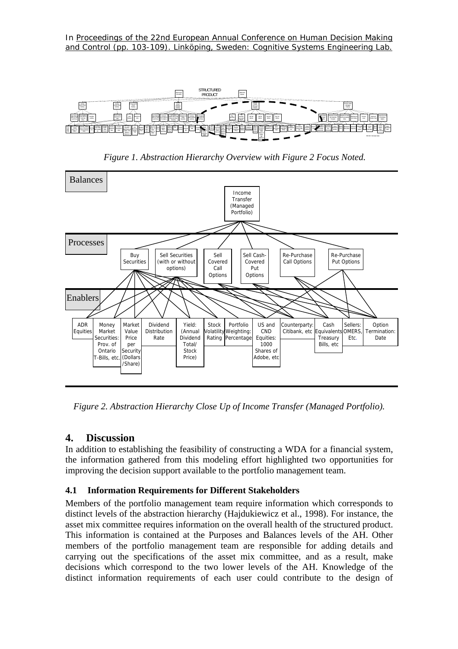In Proceedings of the 22nd European Annual Conference on Human Decision Making and Control (pp. 103-109). Linköping, Sweden: Cognitive Systems Engineering Lab.



*Figure 1. Abstraction Hierarchy Overview with Figure 2 Focus Noted.* 



*Figure 2. Abstraction Hierarchy Close Up of Income Transfer (Managed Portfolio).* 

## **4. Discussion**

In addition to establishing the feasibility of constructing a WDA for a financial system, the information gathered from this modeling effort highlighted two opportunities for improving the decision support available to the portfolio management team.

## **4.1 Information Requirements for Different Stakeholders**

Members of the portfolio management team require information which corresponds to distinct levels of the abstraction hierarchy (Hajdukiewicz et al., 1998). For instance, the asset mix committee requires information on the overall health of the structured product. This information is contained at the Purposes and Balances levels of the AH. Other members of the portfolio management team are responsible for adding details and carrying out the specifications of the asset mix committee, and as a result, make decisions which correspond to the two lower levels of the AH. Knowledge of the distinct information requirements of each user could contribute to the design of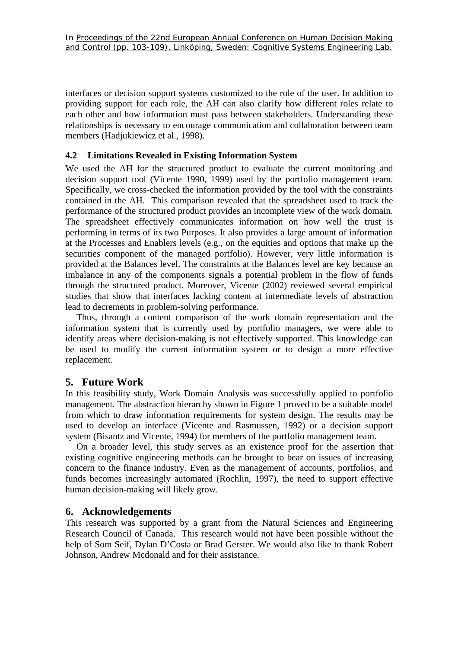interfaces or decision support systems customized to the role of the user. In addition to providing support for each role, the AH can also clarify how different roles relate to each other and how information must pass between stakeholders. Understanding these relationships is necessary to encourage communication and collaboration between team members (Hadjukiewicz et al., 1998).

### **4.2 Limitations Revealed in Existing Information System**

We used the AH for the structured product to evaluate the current monitoring and decision support tool (Vicente 1990, 1999) used by the portfolio management team. Specifically, we cross-checked the information provided by the tool with the constraints contained in the AH. This comparison revealed that the spreadsheet used to track the performance of the structured product provides an incomplete view of the work domain. The spreadsheet effectively communicates information on how well the trust is performing in terms of its two Purposes. It also provides a large amount of information at the Processes and Enablers levels (e.g., on the equities and options that make up the securities component of the managed portfolio). However, very little information is provided at the Balances level. The constraints at the Balances level are key because an imbalance in any of the components signals a potential problem in the flow of funds through the structured product. Moreover, Vicente (2002) reviewed several empirical studies that show that interfaces lacking content at intermediate levels of abstraction lead to decrements in problem-solving performance.

Thus, through a content comparison of the work domain representation and the information system that is currently used by portfolio managers, we were able to identify areas where decision-making is not effectively supported. This knowledge can be used to modify the current information system or to design a more effective replacement.

## **5. Future Work**

In this feasibility study, Work Domain Analysis was successfully applied to portfolio management. The abstraction hierarchy shown in Figure 1 proved to be a suitable model from which to draw information requirements for system design. The results may be used to develop an interface (Vicente and Rasmussen, 1992) or a decision support system (Bisantz and Vicente, 1994) for members of the portfolio management team.

On a broader level, this study serves as an existence proof for the assertion that existing cognitive engineering methods can be brought to bear on issues of increasing concern to the finance industry. Even as the management of accounts, portfolios, and funds becomes increasingly automated (Rochlin, 1997), the need to support effective human decision-making will likely grow.

## **6. Acknowledgements**

This research was supported by a grant from the Natural Sciences and Engineering Research Council of Canada. This research would not have been possible without the help of Som Seif, Dylan D'Costa or Brad Gerster. We would also like to thank Robert Johnson, Andrew Mcdonald and for their assistance.